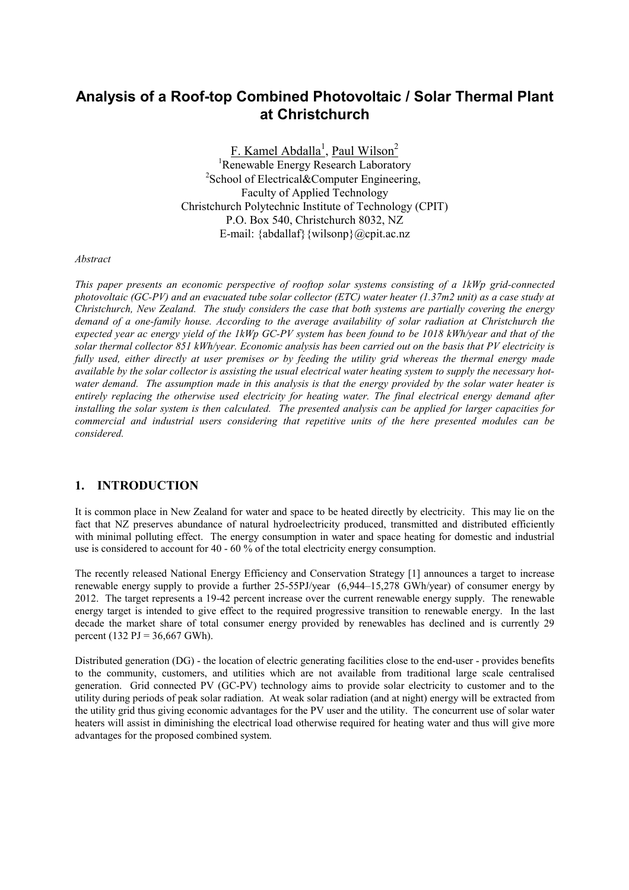# **Analysis of a Roof-top Combined Photovoltaic / Solar Thermal Plant at Christchurch**

F. Kamel Abdalla<sup>1</sup>, Paul Wilson<sup>2</sup> <sup>1</sup>Renewable Energy Research Laboratory <sup>2</sup>School of Electrical&Computer Engineering, Faculty of Applied Technology Christchurch Polytechnic Institute of Technology (CPIT) P.O. Box 540, Christchurch 8032, NZ E-mail: {abdallaf}{wilsonp}@cpit.ac.nz

*Abstract*

*This paper presents an economic perspective of rooftop solar systems consisting of a 1kWp grid-connected photovoltaic (GC-PV) and an evacuated tube solar collector (ETC) water heater (1.37m2 unit) as a case study at Christchurch, New Zealand. The study considers the case that both systems are partially covering the energy demand of a one-family house. According to the average availability of solar radiation at Christchurch the expected year ac energy yield of the 1kWp GC-PV system has been found to be 1018 kWh/year and that of the solar thermal collector 851 kWh/year. Economic analysis has been carried out on the basis that PV electricity is fully used, either directly at user premises or by feeding the utility grid whereas the thermal energy made available by the solar collector is assisting the usual electrical water heating system to supply the necessary hotwater demand. The assumption made in this analysis is that the energy provided by the solar water heater is entirely replacing the otherwise used electricity for heating water. The final electrical energy demand after installing the solar system is then calculated. The presented analysis can be applied for larger capacities for commercial and industrial users considering that repetitive units of the here presented modules can be considered.*

### **1. INTRODUCTION**

It is common place in New Zealand for water and space to be heated directly by electricity. This may lie on the fact that NZ preserves abundance of natural hydroelectricity produced, transmitted and distributed efficiently with minimal polluting effect. The energy consumption in water and space heating for domestic and industrial use is considered to account for 40 - 60 % of the total electricity energy consumption.

The recently released National Energy Efficiency and Conservation Strategy [1] announces a target to increase renewable energy supply to provide a further 25-55PJ/year (6,944–15,278 GWh/year) of consumer energy by 2012. The target represents a 19-42 percent increase over the current renewable energy supply. The renewable energy target is intended to give effect to the required progressive transition to renewable energy. In the last decade the market share of total consumer energy provided by renewables has declined and is currently 29 percent (132 PJ =  $36,667$  GWh).

Distributed generation (DG) - the location of electric generating facilities close to the end-user - provides benefits to the community, customers, and utilities which are not available from traditional large scale centralised generation. Grid connected PV (GC-PV) technology aims to provide solar electricity to customer and to the utility during periods of peak solar radiation. At weak solar radiation (and at night) energy will be extracted from the utility grid thus giving economic advantages for the PV user and the utility. The concurrent use of solar water heaters will assist in diminishing the electrical load otherwise required for heating water and thus will give more advantages for the proposed combined system.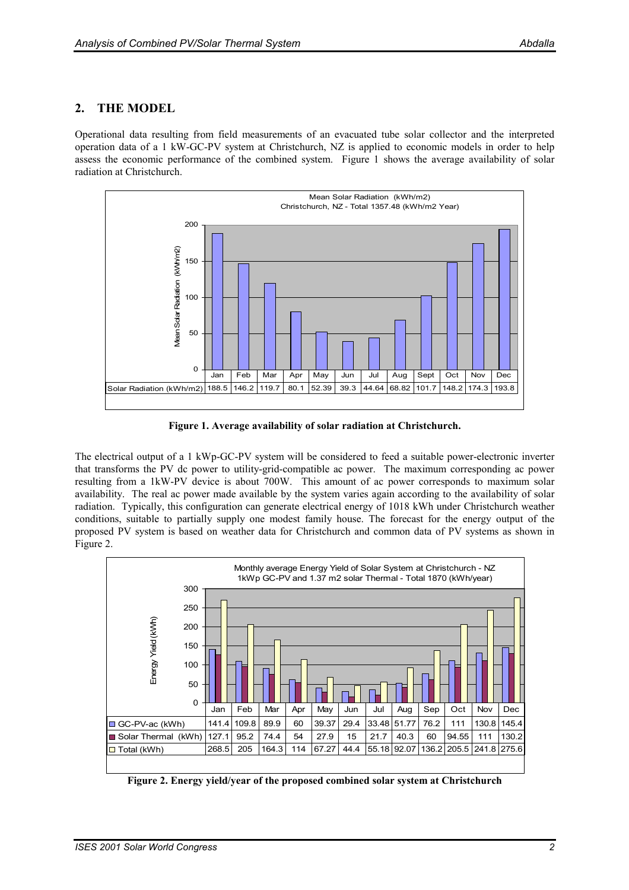### **2. THE MODEL**

Operational data resulting from field measurements of an evacuated tube solar collector and the interpreted operation data of a 1 kW-GC-PV system at Christchurch, NZ is applied to economic models in order to help assess the economic performance of the combined system. Figure 1 shows the average availability of solar radiation at Christchurch.



**Figure 1. Average availability of solar radiation at Christchurch.**

The electrical output of a 1 kWp-GC-PV system will be considered to feed a suitable power-electronic inverter that transforms the PV dc power to utility-grid-compatible ac power. The maximum corresponding ac power resulting from a 1kW-PV device is about 700W. This amount of ac power corresponds to maximum solar availability. The real ac power made available by the system varies again according to the availability of solar radiation. Typically, this configuration can generate electrical energy of 1018 kWh under Christchurch weather conditions, suitable to partially supply one modest family house. The forecast for the energy output of the proposed PV system is based on weather data for Christchurch and common data of PV systems as shown in Figure 2.



**Figure 2. Energy yield/year of the proposed combined solar system at Christchurch**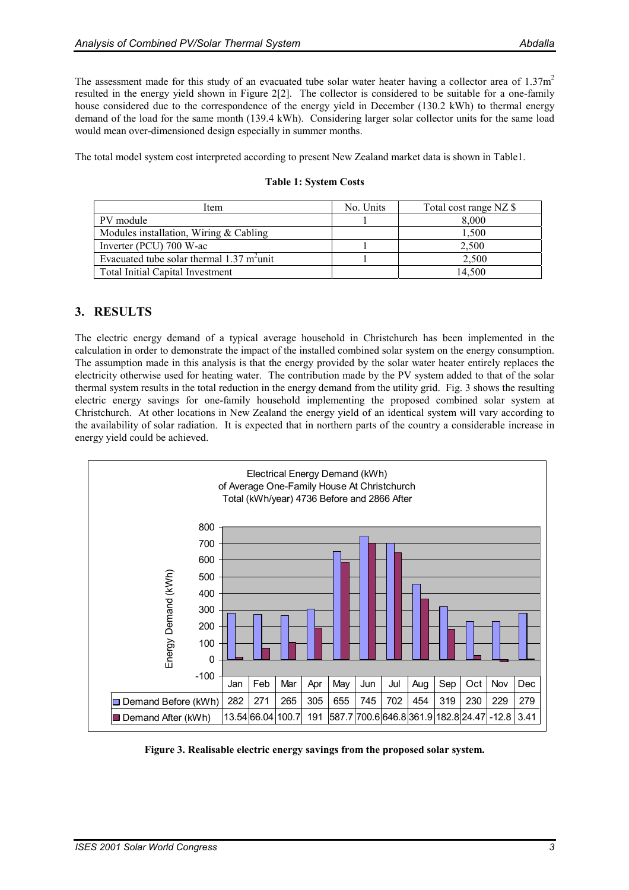The assessment made for this study of an evacuated tube solar water heater having a collector area of  $1.37m<sup>2</sup>$ resulted in the energy yield shown in Figure 2[2]. The collector is considered to be suitable for a one-family house considered due to the correspondence of the energy yield in December (130.2 kWh) to thermal energy demand of the load for the same month (139.4 kWh). Considering larger solar collector units for the same load would mean over-dimensioned design especially in summer months.

The total model system cost interpreted according to present New Zealand market data is shown in Table1.

| Item                                                 | No. Units | Total cost range NZ \$ |
|------------------------------------------------------|-----------|------------------------|
| PV module                                            |           | 8,000                  |
| Modules installation, Wiring $&$ Cabling             |           | 1,500                  |
| Inverter (PCU) 700 W-ac                              |           | 2,500                  |
| Evacuated tube solar thermal $1.37 \text{ m}^2$ unit |           | 2,500                  |
| <b>Total Initial Capital Investment</b>              |           | 14.500                 |

#### **Table 1: System Costs**

### **3. RESULTS**

The electric energy demand of a typical average household in Christchurch has been implemented in the calculation in order to demonstrate the impact of the installed combined solar system on the energy consumption. The assumption made in this analysis is that the energy provided by the solar water heater entirely replaces the electricity otherwise used for heating water. The contribution made by the PV system added to that of the solar thermal system results in the total reduction in the energy demand from the utility grid. Fig. 3 shows the resulting electric energy savings for one-family household implementing the proposed combined solar system at Christchurch. At other locations in New Zealand the energy yield of an identical system will vary according to the availability of solar radiation. It is expected that in northern parts of the country a considerable increase in energy yield could be achieved.



**Figure 3. Realisable electric energy savings from the proposed solar system.**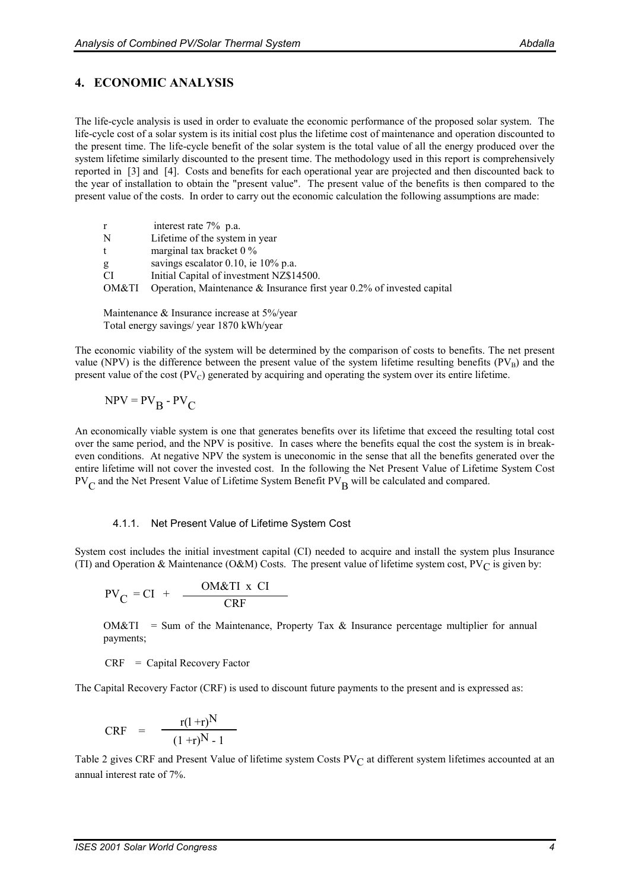### **4. ECONOMIC ANALYSIS**

The life-cycle analysis is used in order to evaluate the economic performance of the proposed solar system. The life-cycle cost of a solar system is its initial cost plus the lifetime cost of maintenance and operation discounted to the present time. The life-cycle benefit of the solar system is the total value of all the energy produced over the system lifetime similarly discounted to the present time. The methodology used in this report is comprehensively reported in [3] and [4]. Costs and benefits for each operational year are projected and then discounted back to the year of installation to obtain the "present value". The present value of the benefits is then compared to the present value of the costs. In order to carry out the economic calculation the following assumptions are made:

| $\mathbf{r}$ | interest rate 7% p.a.                                                     |
|--------------|---------------------------------------------------------------------------|
| N            | Lifetime of the system in year                                            |
| t            | marginal tax bracket $0\%$                                                |
| g            | savings escalator 0.10, ie $10\%$ p.a.                                    |
| CI.          | Initial Capital of investment NZ\$14500.                                  |
| OM&TI        | Operation, Maintenance $\&$ Insurance first year 0.2% of invested capital |
|              |                                                                           |

Maintenance & Insurance increase at 5%/year Total energy savings/ year 1870 kWh/year

The economic viability of the system will be determined by the comparison of costs to benefits. The net present value (NPV) is the difference between the present value of the system lifetime resulting benefits  $(PV_B)$  and the present value of the cost  $(PV_C)$  generated by acquiring and operating the system over its entire lifetime.

$$
NPV = PV_B - PV_C
$$

An economically viable system is one that generates benefits over its lifetime that exceed the resulting total cost over the same period, and the NPV is positive. In cases where the benefits equal the cost the system is in breakeven conditions. At negative NPV the system is uneconomic in the sense that all the benefits generated over the entire lifetime will not cover the invested cost. In the following the Net Present Value of Lifetime System Cost  $PV_C$  and the Net Present Value of Lifetime System Benefit  $PV_B$  will be calculated and compared.

#### 4.1.1. Net Present Value of Lifetime System Cost

System cost includes the initial investment capital (CI) needed to acquire and install the system plus Insurance (TI) and Operation & Maintenance (O&M) Costs. The present value of lifetime system cost, PV<sub>C</sub> is given by:

$$
PV_C = CI + \frac{OM&TI x CI}{CRF}
$$

 $OM&TI$  = Sum of the Maintenance, Property Tax  $&$  Insurance percentage multiplier for annual payments;

 $CRF = Capital Recovery Factor$ 

The Capital Recovery Factor (CRF) is used to discount future payments to the present and is expressed as:

$$
CRF = \frac{r(1+r)^N}{(1+r)^N - 1}
$$

Table 2 gives CRF and Present Value of lifetime system Costs  $PV<sub>C</sub>$  at different system lifetimes accounted at an annual interest rate of 7%.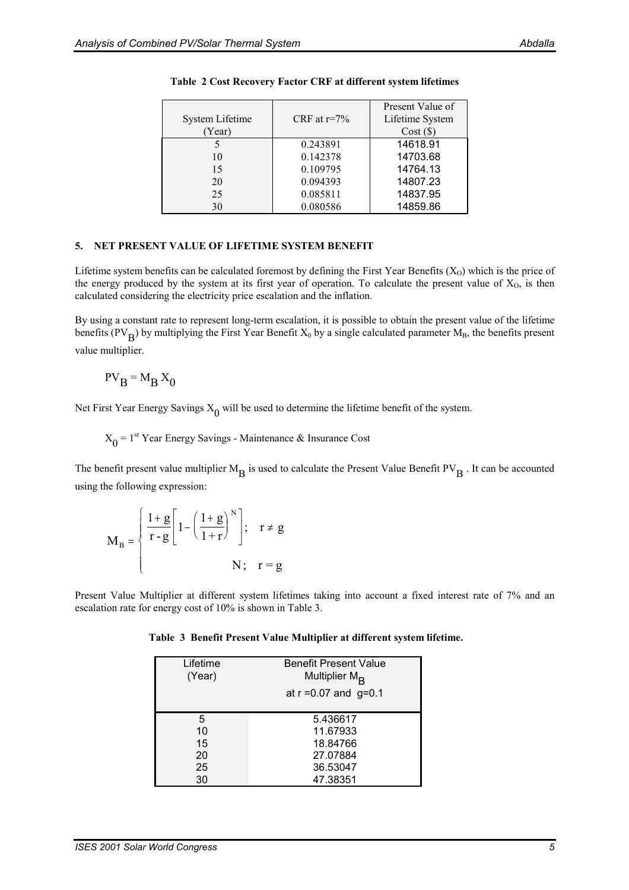| System Lifetime<br>(Year) | CRF at $r=7\%$ | Present Value of<br>Lifetime System<br>Cost(S) |
|---------------------------|----------------|------------------------------------------------|
|                           | 0.243891       | 14618.91                                       |
| 10                        | 0.142378       | 14703.68                                       |
| 15                        | 0.109795       | 14764.13                                       |
| 20                        | 0.094393       | 14807.23                                       |
| 25                        | 0.085811       | 14837.95                                       |
| 30                        | 0.080586       | 14859.86                                       |

#### **Table 2 Cost Recovery Factor CRF at different system lifetimes**

#### **5. NET PRESENT VALUE OF LIFETIME SYSTEM BENEFIT**

Lifetime system benefits can be calculated foremost by defining the First Year Benefits  $(X_0)$  which is the price of the energy produced by the system at its first year of operation. To calculate the present value of  $X_0$ , is then calculated considering the electricity price escalation and the inflation.

By using a constant rate to represent long-term escalation, it is possible to obtain the present value of the lifetime benefits (PV<sub>B</sub>) by multiplying the First Year Benefit X<sub>0</sub> by a single calculated parameter M<sub>B</sub>, the benefits present value multiplier.

$$
PV_B = M_B X_0
$$

Net First Year Energy Savings  $X_0$  will be used to determine the lifetime benefit of the system.

 $X_0 = 1^{st}$  Year Energy Savings - Maintenance & Insurance Cost

The benefit present value multiplier  $M_B$  is used to calculate the Present Value Benefit PV $_B$ . It can be accounted using the following expression:

$$
\mathbf{M}_{\mathrm{B}} = \begin{cases} \frac{1+\mathrm{g}}{\mathrm{r} \cdot \mathrm{g}} \left[ 1 - \left( \frac{1+\mathrm{g}}{1+\mathrm{r}} \right)^{\mathrm{N}} \right]; & \mathrm{r} \neq \mathrm{g} \\ & \mathbf{N}; & \mathrm{r} = \mathrm{g} \end{cases}
$$

Present Value Multiplier at different system lifetimes taking into account a fixed interest rate of 7% and an escalation rate for energy cost of 10% is shown in Table 3.

|  |  | Table 3 Benefit Present Value Multiplier at different system lifetime. |  |  |  |  |  |  |
|--|--|------------------------------------------------------------------------|--|--|--|--|--|--|
|--|--|------------------------------------------------------------------------|--|--|--|--|--|--|

| Lifetime<br>(Year) | <b>Benefit Present Value</b><br>Multiplier $M_{\mathbf{R}}$<br>at $r = 0.07$ and $g = 0.1$ |
|--------------------|--------------------------------------------------------------------------------------------|
| 5                  | 5.436617                                                                                   |
| 10                 | 11.67933                                                                                   |
| 15                 | 18.84766                                                                                   |
| 20                 | 27.07884                                                                                   |
| 25                 | 36.53047                                                                                   |
| 30                 | 47.38351                                                                                   |